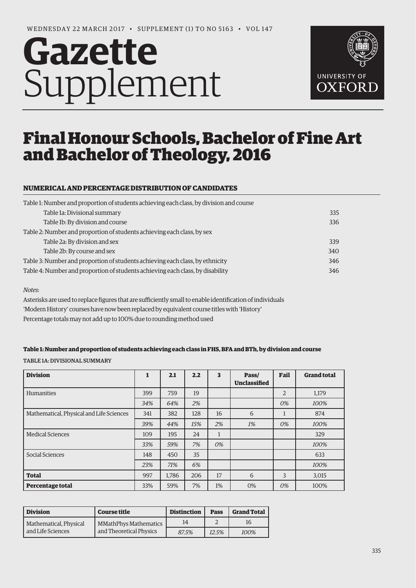# **Gazette** Supplement



# Final Honour Schools, Bachelor of Fine Art and Bachelor of Theology, 2016

## **NUMERICAL AND PERCENTAGE DISTRIBUTION OF CANDIDATES**

| Table 1: Number and proportion of students achieving each class, by division and course |     |  |  |  |  |  |
|-----------------------------------------------------------------------------------------|-----|--|--|--|--|--|
| Table 1a: Divisional summary                                                            | 335 |  |  |  |  |  |
| Table 1b: By division and course                                                        | 336 |  |  |  |  |  |
| Table 2: Number and proportion of students achieving each class, by sex                 |     |  |  |  |  |  |
| Table 2a: By division and sex                                                           | 339 |  |  |  |  |  |
| Table 2b: By course and sex                                                             | 340 |  |  |  |  |  |
| Table 3: Number and proportion of students achieving each class, by ethnicity           | 346 |  |  |  |  |  |
| Table 4: Number and proportion of students achieving each class, by disability          |     |  |  |  |  |  |

#### *Notes*:

Asterisks are used to replace figures that are sufficiently small to enable identification of individuals 'Modern History' courses have now been replaced by equivalent course titles with 'History' Percentage totals may not add up to 100% due to rounding method used

#### **Table 1: Number and proportion of students achieving each class in FHS, BFA and BTh, by division and course**

TABLE 1A: DIVISIONAL SUMMARY

| <b>Division</b>                          | $\mathbf{1}$ | 2.1   | 2.2 | 3            | Pass/<br><b>Unclassified</b> | Fail           | <b>Grand total</b> |
|------------------------------------------|--------------|-------|-----|--------------|------------------------------|----------------|--------------------|
| Humanities                               | 399          | 759   | 19  |              |                              | $\overline{2}$ | 1,179              |
|                                          | 34%          | 64%   | 2%  |              |                              | 0%             | 100%               |
| Mathematical, Physical and Life Sciences | 341          | 382   | 128 | 16           | 6                            | 1              | 874                |
|                                          | 39%          | 44%   | 15% | 2%           | 1%                           | 0%             | 100%               |
| <b>Medical Sciences</b>                  | 109          | 195   | 24  | $\mathbf{1}$ |                              |                | 329                |
|                                          | 33%          | 59%   | 7%  | 0%           |                              |                | 100%               |
| Social Sciences                          | 148          | 450   | 35  |              |                              |                | 633                |
|                                          | 23%          | 71%   | 6%  |              |                              |                | 100%               |
| <b>Total</b>                             | 997          | 1,786 | 206 | 17           | 6                            | 3              | 3,015              |
| <b>Percentage total</b>                  | 33%          | 59%   | 7%  | $1\%$        | 0%                           | 0%             | 100%               |

| <b>Division</b>        | <b>Course title</b>          | <b>Distinction</b> | <b>Pass</b> | <b>Grand Total</b> |
|------------------------|------------------------------|--------------------|-------------|--------------------|
| Mathematical, Physical | <b>MMathPhys Mathematics</b> | 14                 |             | 16                 |
| and Life Sciences      | and Theoretical Physics      | 87.5%              | 12.5%       | 100%               |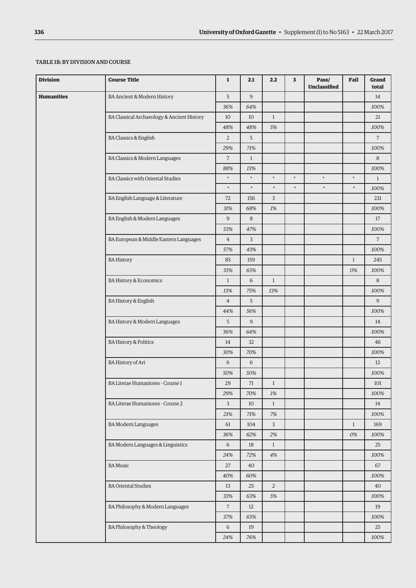#### <span id="page-1-0"></span>TABLE 1B: BY DIVISION AND COURSE

| <b>Division</b>   | <b>Course Title</b>                        | $\mathbf{1}$   | 2.1          | 2.2            | 3      | Pass/<br><b>Unclassified</b> | Fail         | Grand<br>total |
|-------------------|--------------------------------------------|----------------|--------------|----------------|--------|------------------------------|--------------|----------------|
| <b>Humanities</b> | BA Ancient & Modern History                | 5              | 9            |                |        |                              |              | 14             |
|                   |                                            | 36%            | 64%          |                |        |                              |              | 100%           |
|                   | BA Classical Archaeology & Ancient History | 10             | 10           | $\mathbf{1}$   |        |                              |              | 21             |
|                   |                                            | 48%            | 48%          | 5%             |        |                              |              | 100%           |
|                   | <b>BA Classics &amp; English</b>           | $\overline{2}$ | 5            |                |        |                              |              | $\overline{7}$ |
|                   |                                            | 29%            | 71%          |                |        |                              |              | 100%           |
|                   | BA Classics & Modern Languages             | $\sqrt{2}$     | $\mathbf{1}$ |                |        |                              |              | 8              |
|                   |                                            | 88%            | 13%          |                |        |                              |              | 100%           |
|                   | <b>BA Classics with Oriental Studies</b>   | $\ast$         | $\ast$       | $\ast$         | $\ast$ | $\ast$                       | $\ast$       | $\mathbf{1}$   |
|                   |                                            | $\ast$         | $\ast$       | $\ast$         | $\ast$ | $\ast$                       | $\ast$       | 100%           |
|                   | BA English Language & Literature           | 72             | 156          | $\overline{3}$ |        |                              |              | 231            |
|                   |                                            | 31%            | 68%          | 1%             |        |                              |              | 100%           |
|                   | BA English & Modern Languages              | 9              | 8            |                |        |                              |              | 17             |
|                   |                                            | 53%            | 47%          |                |        |                              |              | 100%           |
|                   | BA European & Middle Eastern Languages     | $\overline{4}$ | 3            |                |        |                              |              | $\overline{7}$ |
|                   |                                            | 57%            | 43%          |                |        |                              |              | 100%           |
|                   | <b>BA History</b>                          | 85             | 159          |                |        |                              | $\mathbf{1}$ | 245            |
|                   |                                            | 35%            | 65%          |                |        |                              | 0%           | 100%           |
|                   | <b>BA History &amp; Economics</b>          | $\mathbf{1}$   | 6            | $\mathbf{1}$   |        |                              |              | 8              |
|                   |                                            | 13%            | 75%          | 13%            |        |                              |              | 100%           |
|                   | BA History & English                       | $\overline{4}$ | 5            |                |        |                              |              | $\overline{9}$ |
|                   |                                            | 44%            | 56%          |                |        |                              |              | 100%           |
|                   | BA History & Modern Languages              | 5              | 9            |                |        |                              |              | 14             |
|                   |                                            | 36%            | 64%          |                |        |                              |              | 100%           |
|                   | <b>BA History &amp; Politics</b>           | 14             | 32           |                |        |                              |              | 46             |
|                   |                                            | 30%            | 70%          |                |        |                              |              | 100%           |
|                   | <b>BA History of Art</b>                   | 6              | 6            |                |        |                              |              | 12             |
|                   |                                            | 50%            | 50%          |                |        |                              |              | 100%           |
|                   | BA Literae Humaniores - Course 1           | 29             | 71           | $\mathbf{1}$   |        |                              |              | 101            |
|                   |                                            | 29%            | 70%          | $1\%$          |        |                              |              | 100%           |
|                   | BA Literae Humaniores - Course 2           | 3              | 10           | $\mathbf{1}$   |        |                              |              | 14             |
|                   |                                            | 21%            | 71%          | 7%             |        |                              |              | 100%           |
|                   | <b>BA Modern Languages</b>                 | 61             | 104          | $\overline{3}$ |        |                              | $\mathbf{1}$ | 169            |
|                   |                                            | 36%            | 62%          | 2%             |        |                              | 0%           | 100%           |
|                   | BA Modern Languages & Linguistics          | 6              | 18           | $\mathbf{1}$   |        |                              |              | 25             |
|                   |                                            | 24%            | 72%          | 4%             |        |                              |              | 100%           |
|                   | <b>BA</b> Music                            | 27             | 40           |                |        |                              |              | 67             |
|                   |                                            | 40%            | 60%          |                |        |                              |              | 100%           |
|                   | <b>BA Oriental Studies</b>                 | 13             | 25           | $\overline{2}$ |        |                              |              | 40             |
|                   |                                            | 33%            | 63%          | 5%             |        |                              |              | 100%           |
|                   | BA Philosophy & Modern Languages           | $\overline{7}$ | 12           |                |        |                              |              | 19             |
|                   |                                            | 37%            | 63%          |                |        |                              |              | 100%           |
|                   | BA Philosophy & Theology                   | 6              | 19           |                |        |                              |              | 25             |
|                   |                                            | 24%            | 76%          |                |        |                              |              | 100%           |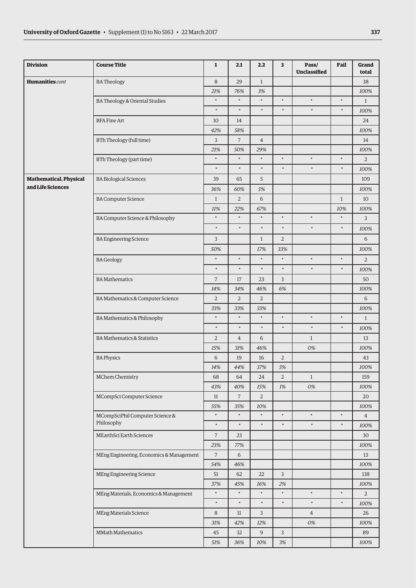| <b>Division</b>               | <b>Course Title</b>                      | $\mathbf{1}$   | 2.1            | 2.2            | 3              | Pass/<br><b>Unclassified</b> | Fail         | Grand<br>total |
|-------------------------------|------------------------------------------|----------------|----------------|----------------|----------------|------------------------------|--------------|----------------|
| <b>Humanities</b> cont        | <b>BATheology</b>                        | $\,8\,$        | 29             | $\mathbf{1}$   |                |                              |              | 38             |
|                               |                                          | 21%            | 76%            | 3%             |                |                              |              | 100%           |
|                               | BA Theology & Oriental Studies           | $\ast$         | $\ast$         | $\ast$         | $\ast$         | ×                            | $\ast$       | $\mathbf{1}$   |
|                               |                                          | $\ast$         | $\ast$         | $\ast$         | $\ast$         | $\ast$                       | $\ast$       | 100%           |
|                               | <b>BFA Fine Art</b>                      | 10             | 14             |                |                |                              |              | 24             |
|                               |                                          | 42%            | 58%            |                |                |                              |              | 100%           |
|                               | BTh Theology (full time)                 | 3              | $\overline{7}$ | $\overline{4}$ |                |                              |              | 14             |
|                               |                                          | 21%            | 50%            | 29%            |                |                              |              | 100%           |
|                               | BTh Theology (part time)                 | $\ast$         | $\ast$         | $\ast$         | $\ast$         | $\ast$                       | $\ast$       | 2              |
|                               |                                          | $\ast$         | $\ast$         | $\ast$         | $\ast$         | $\ast$                       | $\ast$       | 100%           |
| <b>Mathematical, Physical</b> | <b>BA Biological Sciences</b>            | 39             | 65             | 5              |                |                              |              | 109            |
| and Life Sciences             |                                          | 36%            | 60%            | 5%             |                |                              |              | 100%           |
|                               | <b>BA Computer Science</b>               | $\mathbf{1}$   | $\overline{2}$ | 6              |                |                              | $\mathbf{1}$ | 10             |
|                               |                                          | 11%            | 22%            | 67%            |                |                              | 10%          | 100%           |
|                               | BA Computer Science & Philosophy         | $\ast$         | $\ast$         | $\ast$         | $\ast$         | ×                            | $\ast$       | 3              |
|                               |                                          | $\ast$         | $\ast$         | $\ast$         | $\ast$         | $\ast$                       | $\ast$       | 100%           |
|                               | <b>BA Engineering Science</b>            | 3              |                | $\mathbf{1}$   | $\overline{2}$ |                              |              | 6              |
|                               |                                          | 50%            |                | 17%            | 33%            |                              |              | 100%           |
|                               | <b>BA</b> Geology                        | $\ast$         | $\ast$         | $\ast$         | $\ast$         | $\ast$                       | $\ast$       | $\overline{2}$ |
|                               |                                          | $\ast$         | $\ast$         | $\ast$         | $\ast$         | $\ast$                       | $\ast$       | 100%           |
|                               | <b>BA Mathematics</b>                    | $\overline{7}$ | 17             | 23             | 3              |                              |              | 50             |
|                               |                                          | 14%            | 34%            | 46%            | 6%             |                              |              | 100%           |
|                               | BA Mathematics & Computer Science        | $\overline{2}$ | $\overline{2}$ | $\overline{2}$ |                |                              |              | 6              |
|                               |                                          | 33%            | 33%            | 33%            |                |                              |              | 100%           |
|                               | BA Mathematics & Philosophy              | $\ast$         | $\ast$         | $\ast$         | $\ast$         | $\ast$                       | $\ast$       | $\mathbf{1}$   |
|                               |                                          | $\ast$         | $\ast$         | $\ast$         | $\ast$         | $\ast$                       | $\ast$       | 100%           |
|                               | <b>BA Mathematics &amp; Statistics</b>   | $\overline{2}$ | $\overline{4}$ | 6              |                | $\mathbf{1}$                 |              | 13             |
|                               |                                          | 15%            | 31%            | 46%            |                | 0%                           |              | 100%           |
|                               | <b>BA Physics</b>                        | 6              | 19             | 16             | $\overline{2}$ |                              |              | 43             |
|                               |                                          | 14%            | 44%            | 37%            | 5%             |                              |              | 100%           |
|                               | MChem Chemistry                          | 68             | 64             | 24             | $\overline{2}$ | $\mathbf{1}$                 |              | 159            |
|                               |                                          | 43%            | 40%            | 15%            | 1%             | 0%                           |              | 100%           |
|                               | MCompSci Computer Science                | 11             | $\overline{7}$ | $\overline{2}$ |                |                              |              | 20             |
|                               |                                          | 55%            | 35%            | 10%            |                |                              |              | 100%           |
|                               | MCompSciPhil Computer Science &          | $\ast$         | $\ast$         | $\ast$         | $\ast$         | $\ast$                       | $\ast$       | $\overline{4}$ |
|                               | Philosophy                               | $\ast$         | $\ast$         | $\ast$         | $\ast$         | $\ast$                       | $\ast$       | 100%           |
|                               | MEarthSci Earth Sciences                 | $\overline{7}$ | 23             |                |                |                              |              | 30             |
|                               |                                          | 23%            | 77%            |                |                |                              |              | 100%           |
|                               | MEng Engineering, Economics & Management | $\overline{7}$ | $\,$ 6 $\,$    |                |                |                              |              | 13             |
|                               |                                          | 54%            | 46%            |                |                |                              |              | 100%           |
|                               | MEng Engineering Science                 | 51             | 62             | 22             | 3              |                              |              | 138            |
|                               |                                          | 37%            | 45%            | 16%            | 2%             |                              |              | 100%           |
|                               | MEng Materials, Economics & Management   | $\ast$         | $\ast$         | $\ast$         | $\ast$         | $\ast$                       | $\ast$       | $\overline{2}$ |
|                               |                                          | $\ast$         | $\ast$         | $\ast$         | $\ast$         | $\ast$                       | $\ast$       | 100%           |
|                               | <b>MEng Materials Science</b>            | 8              | 11             | 3              |                | $\overline{4}$               |              | 26             |
|                               |                                          | 31%            | 42%            | 12%            |                | 0%                           |              | 100%           |
|                               | <b>MMath Mathematics</b>                 | 45             | 32             | 9              | 3              |                              |              | 89             |
|                               |                                          | 51%            | 36%            | 10%            | 3%             |                              |              | 100%           |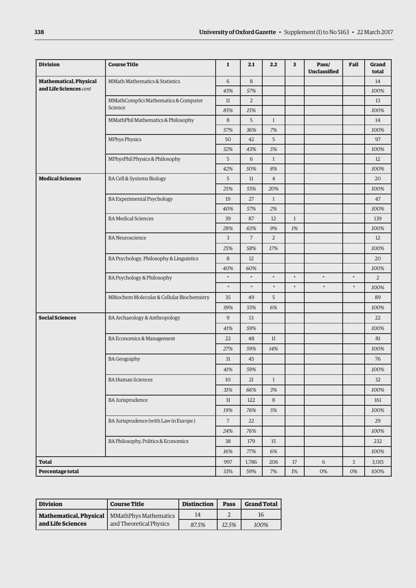| <b>Division</b>               | <b>Course Title</b>                        | $\mathbf{1}$   | 2.1            | 2.2            | 3            | Pass/<br><b>Unclassified</b> | Fail   | Grand<br>total |
|-------------------------------|--------------------------------------------|----------------|----------------|----------------|--------------|------------------------------|--------|----------------|
| <b>Mathematical, Physical</b> | MMath Mathematics & Statistics             | 6              | 8              |                |              |                              |        | 14             |
| and Life Sciences cont        |                                            | 43%            | 57%            |                |              |                              |        | 100%           |
|                               | MMathCompSci Mathematics & Computer        | 11             | $\overline{2}$ |                |              |                              |        | 13             |
|                               | Science                                    | 85%            | 15%            |                |              |                              |        | 100%           |
|                               | MMathPhil Mathematics & Philosophy         | 8              | 5              | $\mathbf{1}$   |              |                              |        | 14             |
|                               |                                            | 57%            | 36%            | 7%             |              |                              |        | 100%           |
|                               | MPhys Physics                              | 50             | 42             | 5              |              |                              |        | 97             |
|                               |                                            | 52%            | 43%            | 5%             |              |                              |        | 100%           |
|                               | MPhysPhil Physics & Philosophy             | 5              | 6              | $\mathbf{1}$   |              |                              |        | 12             |
|                               |                                            | 42%            | 50%            | 8%             |              |                              |        | 100%           |
| <b>Medical Sciences</b>       | BA Cell & Systems Biology                  | 5              | 11             | $\overline{4}$ |              |                              |        | 20             |
|                               |                                            | 25%            | 55%            | 20%            |              |                              |        | 100%           |
|                               | BA Experimental Psychology                 | 19             | 27             | $\mathbf{1}$   |              |                              |        | 47             |
|                               |                                            | 40%            | 57%            | 2%             |              |                              |        | 100%           |
|                               | <b>BA</b> Medical Sciences                 | 39             | 87             | 12             | $\mathbf{1}$ |                              |        | 139            |
|                               |                                            | 28%            | 63%            | 9%             | 1%           |                              |        | 100%           |
|                               | <b>BA</b> Neuroscience                     | 3              | 7              | $\overline{2}$ |              |                              |        | 12             |
|                               |                                            | 25%            | 58%            | 17%            |              |                              |        | 100%           |
|                               | BA Psychology, Philosophy & Linguistics    | 8              | 12             |                |              |                              |        | 20             |
|                               |                                            | 40%            | 60%            |                |              |                              |        | 100%           |
|                               | BA Psychology & Philosophy                 | $\ast$         | $\ast$         | $\ast$         | $\ast$       | $\ast$                       | $\ast$ | $\overline{2}$ |
|                               |                                            | $\ast$         | $\ast$         | *              | $\ast$       | $\ast$                       | $\ast$ | 100%           |
|                               | MBiochem Molecular & Cellular Biochemistry | 35             | 49             | 5              |              |                              |        | 89             |
|                               |                                            | 39%            | 55%            | 6%             |              |                              |        | 100%           |
| <b>Social Sciences</b>        | BA Archaeology & Anthropology              | 9              | 13             |                |              |                              |        | 22             |
|                               |                                            | 41%            | 59%            |                |              |                              |        | 100%           |
|                               | BA Economics & Management                  | 22             | 48             | 11             |              |                              |        | 81             |
|                               |                                            | 27%            | 59%            | 14%            |              |                              |        | 100%           |
|                               | <b>BA Geography</b>                        | 31             | 45             |                |              |                              |        | 76             |
|                               |                                            | 41%            | 59%            |                |              |                              |        | $100\%$        |
|                               | <b>BA Human Sciences</b>                   | 10             | 21             | $\mathbf{1}$   |              |                              |        | 32             |
|                               |                                            | 31%            | 66%            | 3%             |              |                              |        | 100%           |
|                               | <b>BA Jurisprudence</b>                    | 31             | 122            | 8              |              |                              |        | 161            |
|                               |                                            | 19%            | 76%            | 5%             |              |                              |        | 100%           |
|                               | BA Jurisprudence (with Law in Europe)      | $\overline{7}$ | 22             |                |              |                              |        | 29             |
|                               |                                            | 24%            | 76%            |                |              |                              |        | 100%           |
|                               | BA Philosophy, Politics & Economics        | 38             | 179            | 15             |              |                              |        | 232            |
|                               |                                            | 16%            | 77%            | 6%             |              |                              |        | 100%           |
| <b>Total</b>                  |                                            | 997            | 1,786          | 206            | 17           | 6                            | 3      | 3,015          |
| Percentage total              |                                            | 33%            | 59%            | $7\%$          | $1\%$        | $0\%$                        | 0%     | 100%           |

| Division               | <b>Course Title</b>          | <b>Distinction</b> | Pass  | <b>Grand Total</b> |
|------------------------|------------------------------|--------------------|-------|--------------------|
| Mathematical, Physical | <b>MMathPhys Mathematics</b> | 14                 |       |                    |
| and Life Sciences      | and Theoretical Physics      | 87.5%              | 12.5% | 100%               |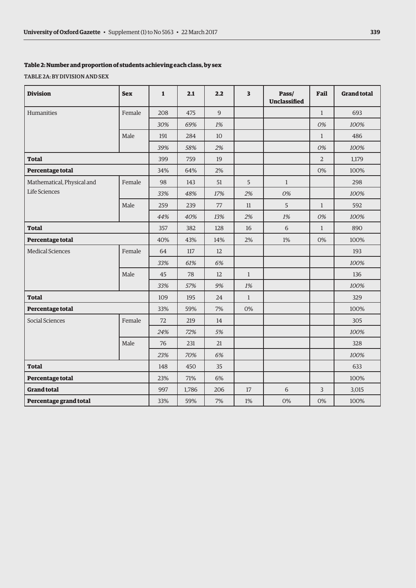### <span id="page-4-0"></span>**Table 2: Number and proportion of students achieving each class, by sex**

TABLE 2A: BY DIVISION AND SEX

| <b>Division</b>            | <b>Sex</b> | $\mathbf{1}$ | 2.1   | 2.2         | $\overline{\mathbf{3}}$ | Pass/<br>Unclassified | Fail           | <b>Grand total</b> |
|----------------------------|------------|--------------|-------|-------------|-------------------------|-----------------------|----------------|--------------------|
| Humanities                 | Female     | 208          | 475   | $\mathsf 9$ |                         |                       | $\mathbf{1}$   | 693                |
|                            |            | 30%          | 69%   | 1%          |                         |                       | 0%             | 100%               |
|                            | Male       | 191          | 284   | 10          |                         |                       | $\mathbf{1}$   | 486                |
|                            |            | 39%          | 58%   | 2%          |                         |                       | 0%             | 100%               |
| <b>Total</b>               |            | 399          | 759   | 19          |                         |                       | $\overline{2}$ | 1,179              |
| Percentage total           |            | 34%          | 64%   | 2%          |                         |                       | 0%             | 100%               |
| Mathematical, Physical and | Female     | 98           | 143   | 51          | 5                       | $\mathbf{1}$          |                | 298                |
| Life Sciences              |            | 33%          | 48%   | 17%         | 2%                      | 0%                    |                | 100%               |
|                            | Male       | 259          | 239   | 77          | 11                      | 5                     | $\mathbf{1}$   | 592                |
|                            |            | 44%          | 40%   | 13%         | 2%                      | 1%                    | 0%             | 100%               |
| <b>Total</b>               |            | 357          | 382   | 128         | 16                      | 6                     | $\mathbf{1}$   | 890                |
| Percentage total           |            | 40%          | 43%   | 14%         | 2%                      | 1%                    | 0%             | 100%               |
| <b>Medical Sciences</b>    | Female     | 64           | 117   | 12          |                         |                       |                | 193                |
|                            |            | 33%          | 61%   | 6%          |                         |                       |                | 100%               |
|                            | Male       | 45           | 78    | 12          | $\mathbf{1}$            |                       |                | 136                |
|                            |            | 33%          | 57%   | 9%          | 1%                      |                       |                | 100%               |
| <b>Total</b>               |            | 109          | 195   | 24          | $\mathbf{1}$            |                       |                | 329                |
| Percentage total           |            | 33%          | 59%   | 7%          | 0%                      |                       |                | 100%               |
| Social Sciences            | Female     | 72           | 219   | 14          |                         |                       |                | 305                |
|                            |            | 24%          | 72%   | 5%          |                         |                       |                | 100%               |
|                            | Male       | 76           | 231   | 21          |                         |                       |                | 328                |
|                            |            | 23%          | 70%   | 6%          |                         |                       |                | 100%               |
| <b>Total</b>               |            | 148          | 450   | 35          |                         |                       |                | 633                |
| Percentage total           |            | 23%          | 71%   | $6\%$       |                         |                       |                | 100%               |
| <b>Grand total</b>         |            | 997          | 1,786 | 206         | 17                      | 6                     | 3              | 3,015              |
| Percentage grand total     |            | 33%          | 59%   | 7%          | 1%                      | 0%                    | 0%             | 100%               |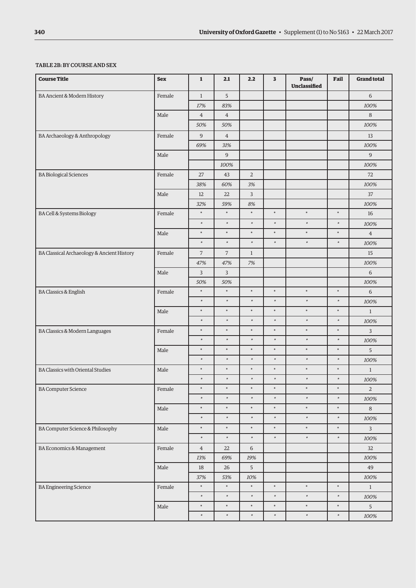### <span id="page-5-0"></span>TABLE 2B: BY COURSE AND SEX

| <b>Course Title</b>                        | <b>Sex</b> | $\mathbf 1$    | 2.1            | 2.2            | 3      | Pass/<br>Unclassified | Fail   | <b>Grand total</b> |
|--------------------------------------------|------------|----------------|----------------|----------------|--------|-----------------------|--------|--------------------|
| <b>BA Ancient &amp; Modern History</b>     | Female     | $1\,$          | 5              |                |        |                       |        | $\,$ 6 $\,$        |
|                                            |            | 17%            | 83%            |                |        |                       |        | 100%               |
|                                            | Male       | $\overline{4}$ | $\overline{4}$ |                |        |                       |        | $\,8\,$            |
|                                            |            | 50%            | 50%            |                |        |                       |        | 100%               |
| BA Archaeology & Anthropology              | Female     | 9              | $\overline{4}$ |                |        |                       |        | 13                 |
|                                            |            | 69%            | 31%            |                |        |                       |        | 100%               |
|                                            | Male       |                | $\overline{9}$ |                |        |                       |        | $\overline{9}$     |
|                                            |            |                | 100%           |                |        |                       |        | 100%               |
| <b>BA</b> Biological Sciences              | Female     | 27             | 43             | $\overline{2}$ |        |                       |        | 72                 |
|                                            |            | 38%            | 60%            | $3\%$          |        |                       |        | 100%               |
|                                            | Male       | 12             | 22             | $\overline{3}$ |        |                       |        | 37                 |
|                                            |            | 32%            | 59%            | 8%             |        |                       |        | 100%               |
| <b>BA Cell &amp; Systems Biology</b>       | Female     | $\ast$         | $\ast$         | $\ast$         | $\ast$ | $\ast$                | $\ast$ | 16                 |
|                                            |            | $\ast$         | $\ast$         | $\ast$         | $\ast$ | $\ast$                | $\ast$ | 100%               |
|                                            | Male       | $\ast$         | $\ast$         | $\ast$         | $\ast$ | $\ast$                | $\ast$ | $\,4$              |
|                                            |            | $\ast$         | $\ast$         | $\ast$         | $\ast$ | $\ast$                | $\ast$ | 100%               |
| BA Classical Archaeology & Ancient History | Female     | $\overline{7}$ | $\overline{7}$ | $\mathbf{1}$   |        |                       |        | 15                 |
|                                            |            | 47%            | 47%            | 7%             |        |                       |        | 100%               |
|                                            | Male       | 3              | $\overline{3}$ |                |        |                       |        | 6                  |
|                                            |            | 50%            | 50%            |                |        |                       |        | 100%               |
| <b>BA Classics &amp; English</b>           | Female     | $\ast$         | $\ast$         | $\ast$         | $\ast$ | $\ast$                | $\ast$ | 6                  |
|                                            |            | $\ast$         | $\ast$         | $\ast$         | $\ast$ | $\ast$                | $\ast$ | 100%               |
|                                            | Male       | $\ast$         | $\ast$         | $\ast$         | $\ast$ | $\ast$                | $\ast$ | $1\,$              |
|                                            |            | $\ast$         | $\ast$         | $\ast$         | $\ast$ | $\ast$                | ×      | 100%               |
| BA Classics & Modern Languages             | Female     | $\ast$         | $\ast$         | $\ast$         | $\ast$ | $\ast$                | $\ast$ | 3                  |
|                                            |            | $\ast$         | $\ast$         | $\ast$         | $\ast$ | $\ast$                | $\ast$ | 100%               |
|                                            | Male       | $\ast$         | $\ast$         | $\ast$         | $\ast$ | $\ast$                | $\ast$ | 5                  |
|                                            |            | $\ast$         | $\ast$         | $\ast$         | $\ast$ | $\ast$                | *      | 100%               |
| <b>BA Classics with Oriental Studies</b>   | Male       | $\ast$         | $\ast$         | $\ast$         | $\ast$ | $\ast$                | $\ast$ | $\,1$              |
|                                            |            | $\ast$         | $\ast$         | $\ast$         | $\ast$ | $\ast$                | $\ast$ | 100%               |
| <b>BA Computer Science</b>                 | Female     | $\ast$         | $\ast$         | $\ast$         | $\ast$ | $\ast$                | $\ast$ | $\overline{a}$     |
|                                            |            | $\ast$         | $\ast$         | $\ast$         | $\ast$ | $\ast$                | $\ast$ | 100%               |
|                                            | Male       | $\ast$         | $\ast$         | $\ast$         | $\ast$ | $\ast$                | $\ast$ | $\,8\,$            |
|                                            |            | $\ast$         | $\ast$         | $\ast$         | $\ast$ | $\ast$                | $\ast$ | 100%               |
| BA Computer Science & Philosophy           | Male       | $\ast$         | $\ast$         | $\ast$         | $\ast$ | $\ast$                | $\ast$ | $\mathbf{3}$       |
|                                            |            | $\ast$         | $\ast$         | $\ast$         | $\ast$ | $\ast$                | $\ast$ | 100%               |
| BA Economics & Management                  | Female     | $\overline{4}$ | 22             | 6              |        |                       |        | 32                 |
|                                            |            | 13%            | 69%            | 19%            |        |                       |        | 100%               |
|                                            | Male       | 18             | 26             | $\overline{5}$ |        |                       |        | 49                 |
|                                            |            | 37%            | 53%            | $10\%$         |        |                       |        | $100\%$            |
| <b>BA</b> Engineering Science              | Female     | $\ast$         | $\ast$         | $\ast$         | $\ast$ | $\ast$                | $\ast$ | $1\,$              |
|                                            |            | $\ast$         | $\ast$         | $\ast$         | $\ast$ | $\ast$                | $\ast$ | 100%               |
|                                            | Male       | $\ast$         | $\ast$         | $\ast$         | $\ast$ | $\ast$                | $\ast$ | 5                  |
|                                            |            | $\ast$         | $\ast$         | $\ast$         | $\ast$ | $\ast$                | $\ast$ | 100%               |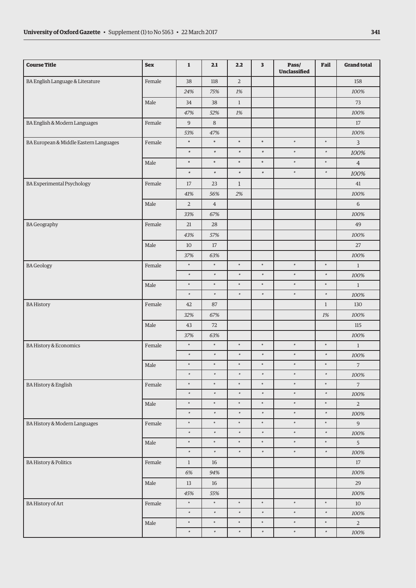| <b>Course Title</b>                    | <b>Sex</b> | $\mathbf 1$      | 2.1            | 2.2            | 3      | Pass/<br>Unclassified | Fail         | <b>Grand total</b> |
|----------------------------------------|------------|------------------|----------------|----------------|--------|-----------------------|--------------|--------------------|
| BA English Language & Literature       | Female     | 38               | 118            | $\overline{2}$ |        |                       |              | 158                |
|                                        |            | 24%              | 75%            | $1\%$          |        |                       |              | 100%               |
|                                        | Male       | 34               | 38             | $\mathbf{1}$   |        |                       |              | 73                 |
|                                        |            | 47%              | 52%            | 1%             |        |                       |              | 100%               |
| BA English & Modern Languages          | Female     | $\boldsymbol{9}$ | $\,8\,$        |                |        |                       |              | $17\,$             |
|                                        |            | 53%              | 47%            |                |        |                       |              | 100%               |
| BA European & Middle Eastern Languages | Female     | $\ast$           | $\ast$         | $\ast$         | $\ast$ | $\ast$                | $\ast$       | 3                  |
|                                        |            | $\ast$           | $\ast$         | $\ast$         | $\ast$ | $\ast$                | $\ast$       | 100%               |
|                                        | Male       | $\ast$           | $\ast$         | $\ast$         | $\ast$ | $\ast$                | $\ast$       | $\overline{4}$     |
|                                        |            | $\ast$           | $\ast$         | $\ast$         | $\ast$ | $\ast$                | $\ast$       | 100%               |
| <b>BA Experimental Psychology</b>      | Female     | 17               | 23             | $\mathbf{1}$   |        |                       |              | 41                 |
|                                        |            | 41%              | 56%            | 2%             |        |                       |              | 100%               |
|                                        | Male       | $\overline{2}$   | $\overline{4}$ |                |        |                       |              | 6                  |
|                                        |            | 33%              | 67%            |                |        |                       |              | 100%               |
| <b>BA</b> Geography                    | Female     | 21               | 28             |                |        |                       |              | 49                 |
|                                        |            | 43%              | 57%            |                |        |                       |              | 100%               |
|                                        | Male       | 10               | $17\,$         |                |        |                       |              | 27                 |
|                                        |            | 37%              | 63%            |                |        |                       |              | 100%               |
| <b>BA</b> Geology                      | Female     | $\ast$           | $\ast$         | $\ast$         | $\ast$ | $\ast$                | $\ast$       | $\mathbf{1}$       |
|                                        |            | $\ast$           | $\ast$         | $\ast$         | $\ast$ | $\ast$                | $\ast$       | $100\%$            |
|                                        | Male       | $\ast$           | $\ast$         | $\ast$         | $\ast$ | $\ast$                | $\ast$       | $\mathbf{1}$       |
|                                        |            | $\ast$           | $\ast$         | $\ast$         | $\ast$ | $\ast$                | $\ast$       | 100%               |
| <b>BA History</b>                      | Female     | 42               | 87             |                |        |                       | $\mathbf{1}$ | 130                |
|                                        |            | 32%              | 67%            |                |        |                       | 1%           | 100%               |
|                                        | Male       | 43               | 72             |                |        |                       |              | 115                |
|                                        |            | 37%              | 63%            |                |        |                       |              | 100%               |
| <b>BA History &amp; Economics</b>      | Female     | $\ast$           | $\ast$         | $\ast$         | $\ast$ | $\ast$                | $\ast$       | $\mathbf{1}$       |
|                                        |            | $\ast$           | $\ast$         | $\ast$         | $\ast$ | $\ast$                | $\ast$       | 100%               |
|                                        | Male       | $\ast$           | $\ast$         | $\ast$         | $\ast$ | $\ast$                | $\ast$       | $\overline{7}$     |
|                                        |            | $\ast$           | $\ast$         | $\ast$         | $\ast$ | $\ast$                | $\ast$       | $100\%$            |
| BA History & English                   | Female     | $\ast$           | $\ast$         | $\ast$         | $\ast$ | $\ast$                | $\ast$       | $\overline{7}$     |
|                                        |            | $\ast$           | $\ast$         | $\ast$         | $\ast$ | $\ast$                | $\ast$       | 100%               |
|                                        | Male       | $\ast$           | $\ast$         | $\ast$         | $\ast$ | $\ast$                | $\ast$       | $\overline{a}$     |
|                                        |            | $\ast$           | $\ast$         | $\ast$         | $\ast$ | $\ast$                | $\ast$       | $100\%$            |
| BA History & Modern Languages          | Female     | $\ast$           | $\ast$         | $\ast$         | $\ast$ | $\ast$                | $\ast$       | 9                  |
|                                        |            | $\ast$           | $\ast$         | $\ast$         | $\ast$ | $\ast$                | $\ast$       | $100\%$            |
|                                        | Male       | $\ast$           | $\ast$         | $\ast$         | $\ast$ | $\ast$                | $\ast$       | 5                  |
|                                        |            | $\ast$           | $\ast$         | $\ast$         | $\ast$ | $\ast$                | $\ast$       | 100%               |
| <b>BA History &amp; Politics</b>       | Female     | $\mathbf{1}$     | 16             |                |        |                       |              | $17\,$             |
|                                        |            | 6%               | 94%            |                |        |                       |              | $100\%$            |
|                                        | Male       | $13\,$           | 16             |                |        |                       |              | 29                 |
|                                        |            | 45%              | 55%            |                |        |                       |              | 100%               |
| <b>BA History of Art</b>               | Female     | $\ast$           | $\ast$         | $\ast$         | $\ast$ | $\ast$                | $\ast$       | $10\,$             |
|                                        |            | $\ast$           | $\ast$         | $\ast$         | $\ast$ | $\ast$                | $\ast$       | 100%               |
|                                        | Male       | $\ast$           | $\ast$         | $\ast$         | $\ast$ | $\ast$                | $\ast$       | $\overline{2}$     |
|                                        |            | $\ast$           | $\ast$         | $\ast$         | $\ast$ | $\ast$                | $\ast$       | $100\%$            |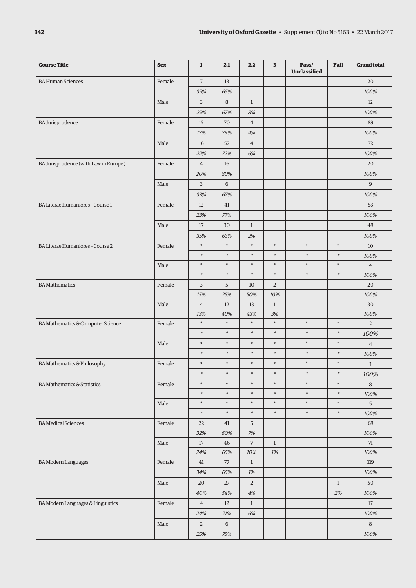| <b>Course Title</b>                    | <b>Sex</b> | $\mathbf{1}$   | 2.1     | 2.2            | 3              | Pass/<br><b>Unclassified</b> | Fail         | <b>Grand total</b> |
|----------------------------------------|------------|----------------|---------|----------------|----------------|------------------------------|--------------|--------------------|
| <b>BA Human Sciences</b>               | Female     | $\overline{7}$ | 13      |                |                |                              |              | 20                 |
|                                        |            | 35%            | 65%     |                |                |                              |              | 100%               |
|                                        | Male       | $\mathbf{3}$   | $\,8\,$ | $1\,$          |                |                              |              | 12                 |
|                                        |            | 25%            | 67%     | 8%             |                |                              |              | 100%               |
| <b>BA Jurisprudence</b>                | Female     | 15             | 70      | $\sqrt{4}$     |                |                              |              | 89                 |
|                                        |            | 17%            | 79%     | 4%             |                |                              |              | 100%               |
|                                        | Male       | 16             | 52      | $\overline{4}$ |                |                              |              | 72                 |
|                                        |            | 22%            | 72%     | 6%             |                |                              |              | 100%               |
| BA Jurisprudence (with Law in Europe)  | Female     | $\overline{4}$ | 16      |                |                |                              |              | 20                 |
|                                        |            | 20%            | 80%     |                |                |                              |              | 100%               |
|                                        | Male       | 3              | 6       |                |                |                              |              | $\boldsymbol{9}$   |
|                                        |            | 33%            | 67%     |                |                |                              |              | 100%               |
| BA Literae Humaniores - Course 1       | Female     | 12             | 41      |                |                |                              |              | 53                 |
|                                        |            | 23%            | 77%     |                |                |                              |              | 100%               |
|                                        | Male       | 17             | 30      | $\mathbf{1}$   |                |                              |              | 48                 |
|                                        |            | 35%            | 63%     | 2%             |                |                              |              | 100%               |
| BA Literae Humaniores - Course 2       | Female     | $\ast$         | $\ast$  | $\ast$         | $\ast$         | $\ast$                       | $\ast$       | 10                 |
|                                        |            | $\ast$         | $\ast$  | $\ast$         | $\ast$         | $\ast$                       | $\ast$       | 100%               |
|                                        | Male       | $\ast$         | ×       | $\ast$         | $\ast$         | $\ast$                       | $\ast$       | $\overline{4}$     |
|                                        |            | $\ast$         | $\ast$  | $\ast$         | $\ast$         | $\ast$                       | $\ast$       | 100%               |
| <b>BA Mathematics</b>                  | Female     | 3              | 5       | 10             | $\overline{2}$ |                              |              | 20                 |
|                                        |            | 15%            | 25%     | 50%            | 10%            |                              |              | 100%               |
|                                        | Male       | $\overline{4}$ | 12      | 13             | $\mathbf{1}$   |                              |              | 30                 |
|                                        |            | 13%            | 40%     | 43%            | 3%             |                              |              | 100%               |
| BA Mathematics & Computer Science      | Female     | $\ast$         | $\ast$  | $\ast$         | $\ast$         | $\ast$                       | $\ast$       | $\overline{2}$     |
|                                        |            | $\ast$         | $\ast$  | $\ast$         | $\ast$         | $\ast$                       | $\ast$       | 100%               |
|                                        | Male       | $\ast$         | $\ast$  | $\ast$         | $\ast$         | $\ast$                       | $\ast$       | $\overline{4}$     |
|                                        |            | $\ast$         | $\ast$  | $\ast$         | $\ast$         | $\ast$                       | $\ast$       | 100%               |
| BA Mathematics & Philosophy            | Female     | $\ast$         | $\ast$  | $\ast$         | $\ast$         | $\ast$                       | $\ast$       | $\mathbf{1}$       |
|                                        |            | $\ast$         | $\ast$  | $\ast$         | $\ast$         | $\ast$                       | $\ast$       | 100%               |
| <b>BA Mathematics &amp; Statistics</b> | Female     | $\ast$         | $\ast$  | $\ast$         | $\ast$         | $\ast$                       | $\ast$       | 8                  |
|                                        |            | $\ast$         | $\ast$  | $\ast$         | $\ast$         | $\ast$                       | $\ast$       | $100\%$            |
|                                        | Male       | $\ast$         | $\ast$  | $\ast$         | $\ast$         | $\ast$                       | $\ast$       | 5                  |
|                                        |            | $\ast$         | $\ast$  | $\ast$         | $\ast$         | $\ast$                       | $\ast$       | 100%               |
| <b>BA</b> Medical Sciences             | Female     | 22             | 41      | 5              |                |                              |              | 68                 |
|                                        |            | 32%            | 60%     | 7%             |                |                              |              | 100%               |
|                                        | Male       | 17             | 46      | $\overline{7}$ | $\mathbf{1}$   |                              |              | 71                 |
|                                        |            | 24%            | 65%     | $10\%$         | $1\%$          |                              |              | $100\%$            |
| <b>BA Modern Languages</b>             | Female     | 41             | 77      | $\,1$          |                |                              |              | 119                |
|                                        |            | 34%            | 65%     | $1\%$          |                |                              |              | 100%               |
|                                        | Male       | 20             | 27      | $\overline{2}$ |                |                              | $\mathbf{1}$ | 50                 |
|                                        |            | 40%            | 54%     | 4%             |                |                              | 2%           | 100%               |
| BA Modern Languages & Linguistics      | Female     | $\overline{4}$ | 12      | $\mathbf{1}$   |                |                              |              | 17                 |
|                                        |            | 24%            | 71%     | $6\%$          |                |                              |              | 100%               |
|                                        | Male       | $\overline{2}$ | $6\,$   |                |                |                              |              | $\,8\,$            |
|                                        |            | $25\%$         | 75%     |                |                |                              |              | $100\%$            |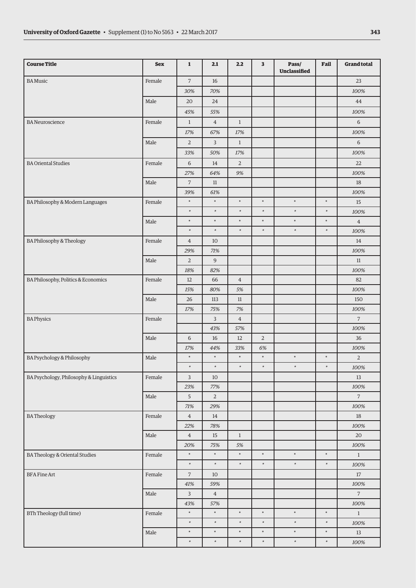| <b>Course Title</b>                     | <b>Sex</b> | $\mathbf{1}$   | 2.1            | 2.2            | 3              | Pass/<br><b>Unclassified</b> | Fail   | <b>Grand total</b> |
|-----------------------------------------|------------|----------------|----------------|----------------|----------------|------------------------------|--------|--------------------|
| <b>BA</b> Music                         | Female     | $\overline{7}$ | 16             |                |                |                              |        | 23                 |
|                                         |            | 30%            | 70%            |                |                |                              |        | 100%               |
|                                         | Male       | 20             | 24             |                |                |                              |        | 44                 |
|                                         |            | 45%            | 55%            |                |                |                              |        | 100%               |
| <b>BA</b> Neuroscience                  | Female     | $\mathbf{1}$   | $\overline{4}$ | $\mathbf{1}$   |                |                              |        | 6                  |
|                                         |            | 17%            | 67%            | $17\%$         |                |                              |        | 100%               |
|                                         | Male       | $\overline{2}$ | 3              | $\mathbf{1}$   |                |                              |        | 6                  |
|                                         |            | 33%            | 50%            | 17%            |                |                              |        | 100%               |
| <b>BA Oriental Studies</b>              | Female     | 6              | 14             | $\overline{2}$ |                |                              |        | 22                 |
|                                         |            | 27%            | 64%            | 9%             |                |                              |        | 100%               |
|                                         | Male       | $\overline{7}$ | 11             |                |                |                              |        | 18                 |
|                                         |            | 39%            | 61%            |                |                |                              |        | 100%               |
| BA Philosophy & Modern Languages        | Female     | $\ast$         | $\ast$         | $\ast$         | $\ast$         | $\ast$                       | $\ast$ | 15                 |
|                                         |            | $\ast$         | $\ast$         | $\ast$         | ×              | $\ast$                       | $\ast$ | 100%               |
|                                         | Male       | $\ast$         | $\ast$         | $\ast$         | $\ast$         | $\ast$                       | $\ast$ | $\overline{4}$     |
|                                         |            | $\ast$         | $\ast$         | $\ast$         | $\ast$         | $\ast$                       | $\ast$ | 100%               |
| BA Philosophy & Theology                | Female     | $\overline{4}$ | 10             |                |                |                              |        | 14                 |
|                                         |            | 29%            | 71%            |                |                |                              |        | 100%               |
|                                         | Male       | $\overline{2}$ | 9              |                |                |                              |        | 11                 |
|                                         |            | 18%            | 82%            |                |                |                              |        | 100%               |
| BA Philosophy, Politics & Economics     | Female     | 12             | 66             | $\overline{4}$ |                |                              |        | 82                 |
|                                         |            | 15%            | 80%            | 5%             |                |                              |        | 100%               |
|                                         | Male       | 26             | 113            | $11\,$         |                |                              |        | 150                |
|                                         |            | 17%            | 75%            | $7\%$          |                |                              |        | 100%               |
| <b>BA Physics</b>                       | Female     |                | 3              | $\overline{4}$ |                |                              |        | $\overline{7}$     |
|                                         |            |                | 43%            | 57%            |                |                              |        | 100%               |
|                                         | Male       | 6              | 16             | 12             | $\overline{2}$ |                              |        | 36                 |
|                                         |            | 17%            | 44%            | 33%            | 6%             |                              |        | 100%               |
| BA Psychology & Philosophy              | Male       | $\ast$         | $\ast$         | $\ast$         | $\ast$         | $\ast$                       | $\ast$ | $\overline{2}$     |
|                                         |            | $\ast$         | $\ast$         | $\ast$         | $\ast$         | $\ast$                       | $\ast$ | 100%               |
| BA Psychology, Philosophy & Linguistics | Female     | $\mathsf{3}$   | $10\,$         |                |                |                              |        | $13\,$             |
|                                         |            | 23%            | 77%            |                |                |                              |        | 100%               |
|                                         | Male       | $\overline{5}$ | $\overline{a}$ |                |                |                              |        | $\overline{7}$     |
|                                         |            | $71\%$         | 29%            |                |                |                              |        | $100\%$            |
| <b>BATheology</b>                       | Female     | $\overline{4}$ | 14             |                |                |                              |        | $18\,$             |
|                                         |            | 22%            | 78%            |                |                |                              |        | 100%               |
|                                         | Male       | $\overline{4}$ | $15\,$         | $\mathbf{1}$   |                |                              |        | $20\,$             |
|                                         |            | 20%            | $75\%$         | $5\%$          |                |                              |        | $100\%$            |
| BA Theology & Oriental Studies          | Female     | $\ast$         | $\ast$         | $\ast$         | $\ast$         | $\ast$                       | $\ast$ | $\mathbf{1}$       |
|                                         |            | $\ast$         | $\ast$         | $\ast$         | $\ast$         | $\ast$                       | $\ast$ | $100\%$            |
| <b>BFA Fine Art</b>                     | Female     | $\overline{7}$ | 10             |                |                |                              |        | $17\,$             |
|                                         |            | $41\%$         | 59%            |                |                |                              |        | 100%               |
|                                         | Male       | $\mathsf{3}$   | $\,4$          |                |                |                              |        | $\sqrt{2}$         |
|                                         |            | 43%            | 57%            |                |                |                              |        | $100\%$            |
| BTh Theology (full time)                | Female     | $\ast$         | $\ast$         | $\ast$         | $\ast$         | $\ast$                       | $\ast$ | $\mathbf{1}$       |
|                                         |            | $\ast$         | $\ast$         | $\ast$         | $\ast$         | $\ast$                       | $\ast$ | $100\%$            |
|                                         | Male       | $\ast$         | $\ast$         | $\ast$         | $\ast$         | $\ast$                       | $\ast$ | $13\,$             |
|                                         |            | $\ast$         | $\ast$         | $\ast$         | $\ast$         | $\ast$                       | $\ast$ | $100\%$            |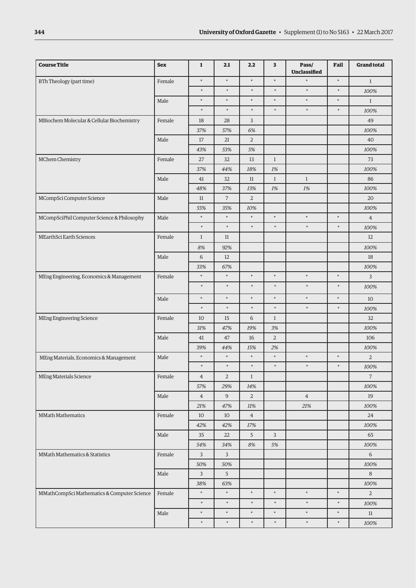| <b>Course Title</b>                         | <b>Sex</b> | $\mathbf{1}$   | 2.1            | 2.2            | 3              | Pass/<br><b>Unclassified</b> | Fail   | <b>Grand total</b> |
|---------------------------------------------|------------|----------------|----------------|----------------|----------------|------------------------------|--------|--------------------|
| BTh Theology (part time)                    | Female     | $\ast$         | ×              | $\ast$         | $\ast$         | $\ast$                       | $\ast$ | $\mathbf{1}$       |
|                                             |            | $\ast$         | $\ast$         | $\ast$         | $\ast$         | $\ast$                       | $\ast$ | 100%               |
|                                             | Male       | $\ast$         | $\ast$         | $\ast$         | $\ast$         | $\ast$                       | $\ast$ | $\mathbf{1}$       |
|                                             |            | $\ast$         | $\ast$         | $\ast$         | $\ast$         | $\ast$                       | $\ast$ | 100%               |
| MBiochem Molecular & Cellular Biochemistry  | Female     | 18             | 28             | 3              |                |                              |        | 49                 |
|                                             |            | 37%            | 57%            | 6%             |                |                              |        | 100%               |
|                                             | Male       | 17             | 21             | $\overline{2}$ |                |                              |        | 40                 |
|                                             |            | 43%            | 53%            | 5%             |                |                              |        | 100%               |
| MChem Chemistry                             | Female     | 27             | 32             | 13             | $\mathbf{1}$   |                              |        | 73                 |
|                                             |            | 37%            | 44%            | 18%            | $1\%$          |                              |        | 100%               |
|                                             | Male       | 41             | 32             | 11             | $\mathbf{1}$   | $\mathbf{1}$                 |        | 86                 |
|                                             |            | 48%            | 37%            | 13%            | $1\%$          | 1%                           |        | 100%               |
| MCompSci Computer Science                   | Male       | $11\,$         | $\overline{7}$ | $\sqrt{2}$     |                |                              |        | 20                 |
|                                             |            | 55%            | 35%            | 10%            |                |                              |        | 100%               |
| MCompSciPhil Computer Science & Philosophy  | Male       | $\ast$         | $\ast$         | $\ast$         | $\ast$         | $\ast$                       | $\ast$ | $\overline{4}$     |
|                                             |            | $\ast$         | $\ast$         | $\ast$         | $\ast$         | $\ast$                       | $\ast$ | 100%               |
| MEarthSci Earth Sciences                    | Female     | $\mathbf{1}$   | 11             |                |                |                              |        | 12                 |
|                                             |            | $8\%$          | 92%            |                |                |                              |        | 100%               |
|                                             | Male       | 6              | 12             |                |                |                              |        | 18                 |
|                                             |            | 33%            | 67%            |                |                |                              |        | 100%               |
| MEng Engineering, Economics & Management    | Female     | $\ast$         | $\ast$         | $\ast$         | $\ast$         | $\ast$                       | $\ast$ | 3                  |
|                                             |            | $\ast$         | $\ast$         | $\ast$         | $\ast$         | $\ast$                       | $\ast$ | 100%               |
|                                             | Male       | $\ast$         | $\ast$         | $\ast$         | $\ast$         | $\ast$                       | $\ast$ | 10                 |
|                                             |            | $\ast$         | $\ast$         | $\ast$         | $\ast$         | $\ast$                       | $\ast$ | 100%               |
| <b>MEng Engineering Science</b>             | Female     | 10             | 15             | 6              | $\mathbf{1}$   |                              |        | 32                 |
|                                             |            | 31%            | 47%            | 19%            | 3%             |                              |        | 100%               |
|                                             | Male       | 41             | 47             | 16             | $\overline{2}$ |                              |        | 106                |
|                                             |            | 39%            | 44%            | 15%            | 2%             |                              |        | 100%               |
| MEng Materials, Economics & Management      | Male       | $\ast$         | $\ast$         | $\ast$         | $\ast$         | $\ast$                       | $\ast$ | $\overline{2}$     |
|                                             |            | $\ast$         | $\ast$         | $\ast$         | $\ast$         | $\ast$                       | $\ast$ | 100%               |
| MEng Materials Science                      | Female     | $\overline{4}$ | $\overline{2}$ | $\mathbf{1}$   |                |                              |        | $\overline{7}$     |
|                                             |            | 57%            | 29%            | 14%            |                |                              |        | 100%               |
|                                             | Male       | $\overline{4}$ | $\overline{9}$ | $\overline{2}$ |                | $\overline{4}$               |        | 19                 |
|                                             |            | 21%            | 47%            | 11%            |                | $21\%$                       |        | 100%               |
| <b>MMath Mathematics</b>                    | Female     | 10             | $10\,$         | $\,4$          |                |                              |        | 24                 |
|                                             |            | 42%            | 42%            | 17%            |                |                              |        | 100%               |
|                                             | Male       | 35             | $22\,$         | 5              | $\overline{3}$ |                              |        | 65                 |
|                                             |            | 54%            | 34%            | $8\%$          | 5%             |                              |        | $100\%$            |
| MMath Mathematics & Statistics              | Female     | $\mathbf{3}$   | $\mathbf{3}$   |                |                |                              |        | $6\,$              |
|                                             |            | 50%            | 50%            |                |                |                              |        | 100%               |
|                                             | Male       | 3              | 5              |                |                |                              |        | 8                  |
|                                             |            | 38%            | 63%            |                |                |                              |        | 100%               |
| MMathCompSci Mathematics & Computer Science | Female     | $\ast$         | $\ast$         | $\ast$         | $\ast$         | $\ast$                       | $\ast$ | $\overline{a}$     |
|                                             |            | $\ast$         | $\ast$         | $\ast$         | $\ast$         | $\ast$                       | $\ast$ | $100\%$            |
|                                             | Male       | $\ast$         | $\ast$         | $\ast$         | $\ast$         | $\ast$                       | $\ast$ | 11                 |
|                                             |            | $\ast$         | $\ast$         | $\ast$         | $\ast$         | $\ast$                       | $\ast$ | $100\%$            |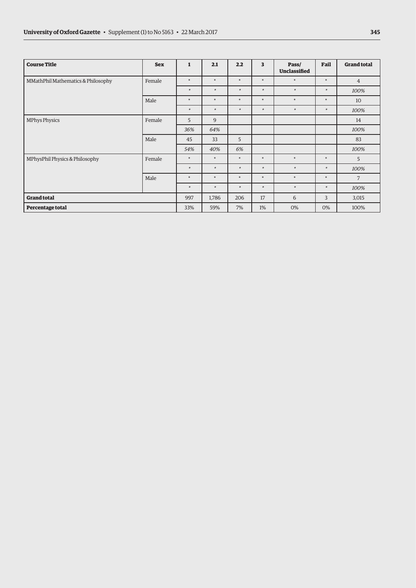| <b>Course Title</b>                | <b>Sex</b> | $\mathbf{1}$ | 2.1    | 2.2    | 3      | Pass/<br><b>Unclassified</b> | Fail   | <b>Grand total</b> |
|------------------------------------|------------|--------------|--------|--------|--------|------------------------------|--------|--------------------|
| MMathPhil Mathematics & Philosophy | Female     | $\ast$       | $\ast$ | $\ast$ | $\ast$ | $\ast$                       | $\ast$ | $\overline{4}$     |
|                                    |            | $\ast$       | $\ast$ | $\ast$ | $\ast$ | $*$                          | $\ast$ | 100%               |
|                                    | Male       | $\ast$       | $\ast$ | $\ast$ | $\ast$ | $\ast$                       | $\ast$ | 10                 |
|                                    |            | $\ast$       | $\ast$ | $\ast$ | $\ast$ | $*$                          | $\ast$ | 100%               |
| <b>MPhys Physics</b>               | Female     | 5            | 9      |        |        |                              |        | 14                 |
|                                    |            | 36%          | 64%    |        |        |                              |        | 100%               |
|                                    | Male       | 45           | 33     | 5      |        |                              |        | 83                 |
|                                    |            | 54%          | 40%    | 6%     |        |                              |        | 100%               |
| MPhysPhil Physics & Philosophy     | Female     | $\ast$       | $\ast$ | $\ast$ | $\ast$ | $\ast$                       | $\ast$ | 5                  |
|                                    |            | $\ast$       | $\ast$ | $\ast$ | $\ast$ | $\ast$                       | $\ast$ | 100%               |
|                                    | Male       | $\ast$       | $\ast$ | $\ast$ | $\ast$ | $\ast$                       | $\ast$ | $\overline{7}$     |
|                                    |            | $\ast$       | $\ast$ | $\ast$ | $\ast$ | $*$                          | $\ast$ | 100%               |
| <b>Grand total</b>                 |            | 997          | 1,786  | 206    | 17     | 6                            | 3      | 3,015              |
| Percentage total                   |            | 33%          | 59%    | 7%     | 1%     | 0%                           | 0%     | 100%               |